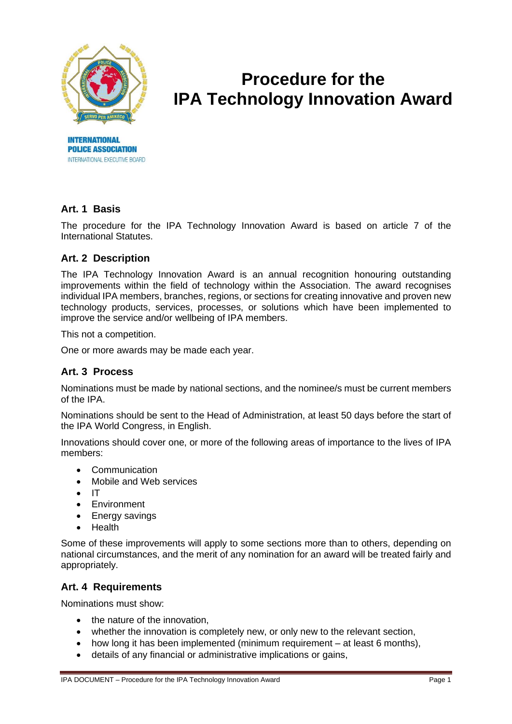

# **Procedure for the IPA Technology Innovation Award**

## **Art. 1 Basis**

**INTERNATIONAL POLICE ASSOCIATION** INTERNATIONAL EXECUTIVE BOARD

The procedure for the IPA Technology Innovation Award is based on article 7 of the International Statutes.

### **Art. 2 Description**

The IPA Technology Innovation Award is an annual recognition honouring outstanding improvements within the field of technology within the Association. The award recognises individual IPA members, branches, regions, or sections for creating innovative and proven new technology products, services, processes, or solutions which have been implemented to improve the service and/or wellbeing of IPA members.

This not a competition.

One or more awards may be made each year.

#### **Art. 3 Process**

Nominations must be made by national sections, and the nominee/s must be current members of the IPA.

Nominations should be sent to the Head of Administration, at least 50 days before the start of the IPA World Congress, in English.

Innovations should cover one, or more of the following areas of importance to the lives of IPA members:

- Communication
- Mobile and Web services
- IT
- Environment
- Energy savings
- Health

Some of these improvements will apply to some sections more than to others, depending on national circumstances, and the merit of any nomination for an award will be treated fairly and appropriately.

#### **Art. 4 Requirements**

Nominations must show:

- the nature of the innovation.
- whether the innovation is completely new, or only new to the relevant section,
- how long it has been implemented (minimum requirement at least 6 months),
- details of any financial or administrative implications or gains,